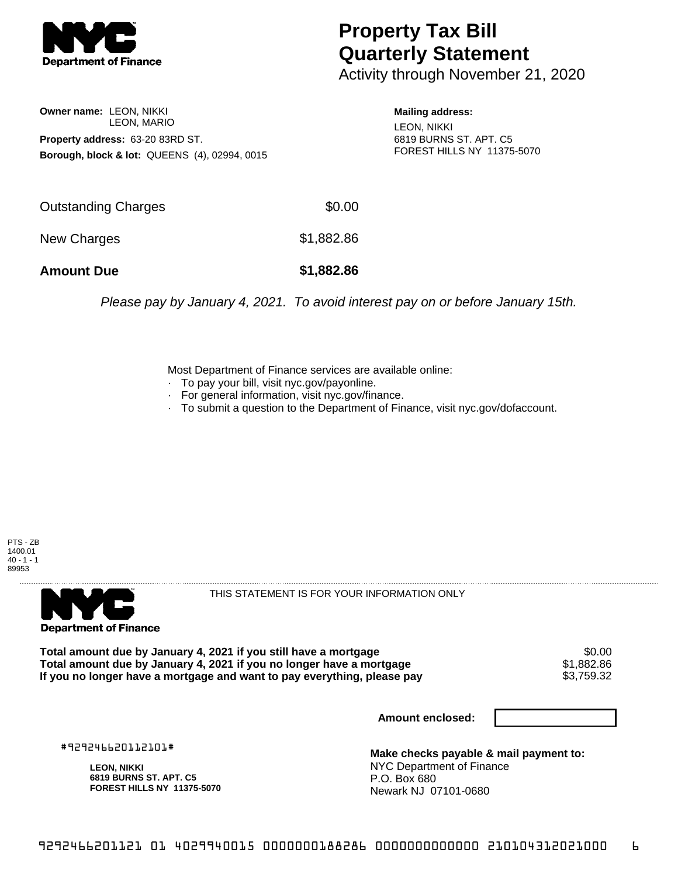

## **Property Tax Bill Quarterly Statement**

Activity through November 21, 2020

**Owner name:** LEON, NIKKI LEON, MARIO **Property address:** 63-20 83RD ST. **Borough, block & lot:** QUEENS (4), 02994, 0015 **Mailing address:** LEON, NIKKI 6819 BURNS ST. APT. C5 FOREST HILLS NY 11375-5070

| <b>Amount Due</b>   | \$1,882.86 |
|---------------------|------------|
| New Charges         | \$1,882.86 |
| Outstanding Charges | \$0.00     |

Please pay by January 4, 2021. To avoid interest pay on or before January 15th.

Most Department of Finance services are available online:

- · To pay your bill, visit nyc.gov/payonline.
- For general information, visit nyc.gov/finance.
- · To submit a question to the Department of Finance, visit nyc.gov/dofaccount.





THIS STATEMENT IS FOR YOUR INFORMATION ONLY

Total amount due by January 4, 2021 if you still have a mortgage \$0.00<br>Total amount due by January 4, 2021 if you no longer have a mortgage \$1.882.86 **Total amount due by January 4, 2021 if you no longer have a mortgage**  $$1,882.86$ **<br>If you no longer have a mortgage and want to pay everything, please pay <b>show that have a** \$3,759.32 If you no longer have a mortgage and want to pay everything, please pay

**Amount enclosed:**

#929246620112101#

**LEON, NIKKI 6819 BURNS ST. APT. C5 FOREST HILLS NY 11375-5070**

**Make checks payable & mail payment to:** NYC Department of Finance P.O. Box 680 Newark NJ 07101-0680